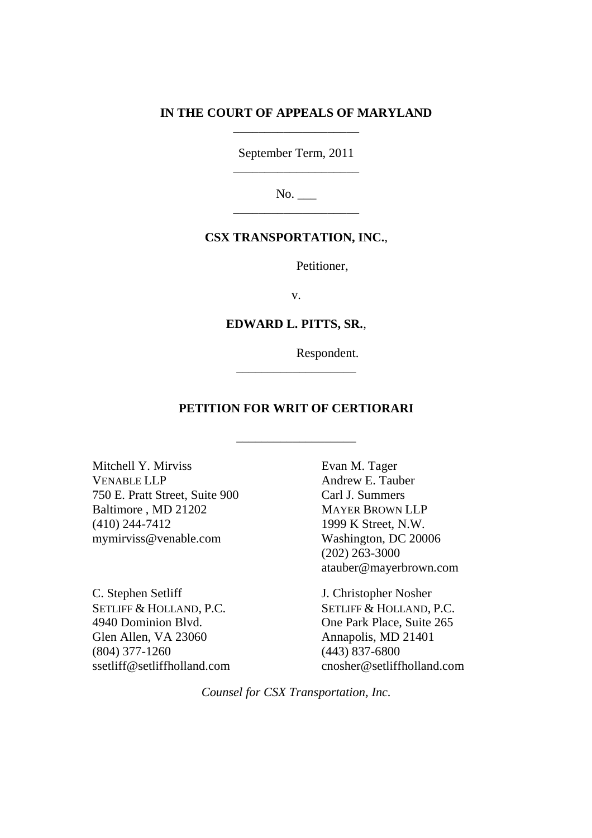# **IN THE COURT OF APPEALS OF MARYLAND** \_\_\_\_\_\_\_\_\_\_\_\_\_\_\_\_\_\_\_\_

September Term, 2011 \_\_\_\_\_\_\_\_\_\_\_\_\_\_\_\_\_\_\_\_

No. \_\_\_ \_\_\_\_\_\_\_\_\_\_\_\_\_\_\_\_\_\_\_\_

# **CSX TRANSPORTATION, INC.**,

Petitioner,

v.

### **EDWARD L. PITTS, SR.**,

\_\_\_\_\_\_\_\_\_\_\_\_\_\_\_\_\_\_\_

Respondent.

# **PETITION FOR WRIT OF CERTIORARI**

\_\_\_\_\_\_\_\_\_\_\_\_\_\_\_\_\_\_\_

Mitchell Y. Mirviss VENABLE LLP 750 E. Pratt Street, Suite 900 Baltimore , MD 21202 (410) 244-7412 mymirviss@venable.com

C. Stephen Setliff SETLIFF & HOLLAND, P.C. 4940 Dominion Blvd. Glen Allen, VA 23060 (804) 377-1260 ssetliff@setliffholland.com

Evan M. Tager Andrew E. Tauber Carl J. Summers MAYER BROWN LLP 1999 K Street, N.W. Washington, DC 20006 (202) 263-3000 atauber@mayerbrown.com

J. Christopher Nosher SETLIFF & HOLLAND, P.C. One Park Place, Suite 265 Annapolis, MD 21401 (443) 837-6800 cnosher@setliffholland.com

*Counsel for CSX Transportation, Inc.*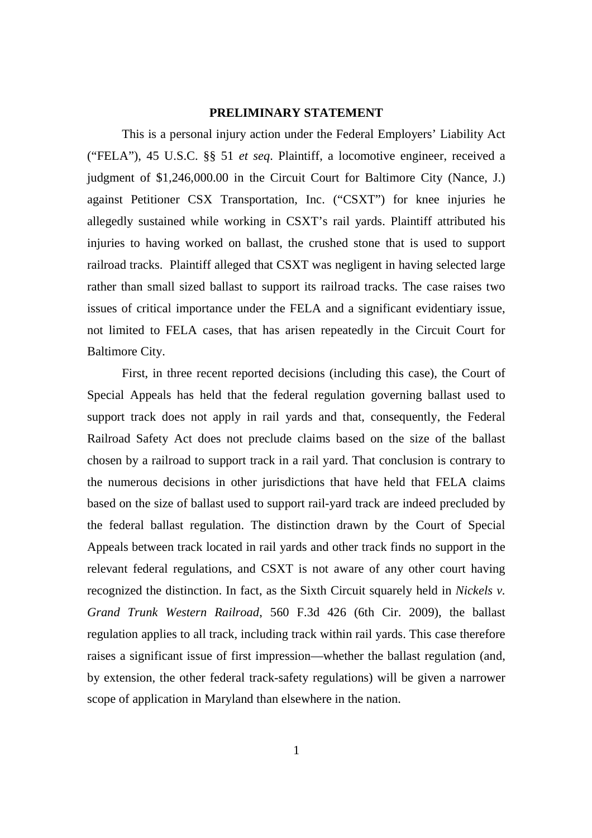### **PRELIMINARY STATEMENT**

This is a personal injury action under the Federal Employers' Liability Act ("FELA"), 45 U.S.C. §§ 51 *et seq*. Plaintiff, a locomotive engineer, received a judgment of \$1,246,000.00 in the Circuit Court for Baltimore City (Nance, J.) against Petitioner CSX Transportation, Inc. ("CSXT") for knee injuries he allegedly sustained while working in CSXT's rail yards. Plaintiff attributed his injuries to having worked on ballast, the crushed stone that is used to support railroad tracks. Plaintiff alleged that CSXT was negligent in having selected large rather than small sized ballast to support its railroad tracks. The case raises two issues of critical importance under the FELA and a significant evidentiary issue, not limited to FELA cases, that has arisen repeatedly in the Circuit Court for Baltimore City.

First, in three recent reported decisions (including this case), the Court of Special Appeals has held that the federal regulation governing ballast used to support track does not apply in rail yards and that, consequently, the Federal Railroad Safety Act does not preclude claims based on the size of the ballast chosen by a railroad to support track in a rail yard. That conclusion is contrary to the numerous decisions in other jurisdictions that have held that FELA claims based on the size of ballast used to support rail-yard track are indeed precluded by the federal ballast regulation. The distinction drawn by the Court of Special Appeals between track located in rail yards and other track finds no support in the relevant federal regulations, and CSXT is not aware of any other court having recognized the distinction. In fact, as the Sixth Circuit squarely held in *Nickels v. Grand Trunk Western Railroad*, 560 F.3d 426 (6th Cir. 2009), the ballast regulation applies to all track, including track within rail yards. This case therefore raises a significant issue of first impression—whether the ballast regulation (and, by extension, the other federal track-safety regulations) will be given a narrower scope of application in Maryland than elsewhere in the nation.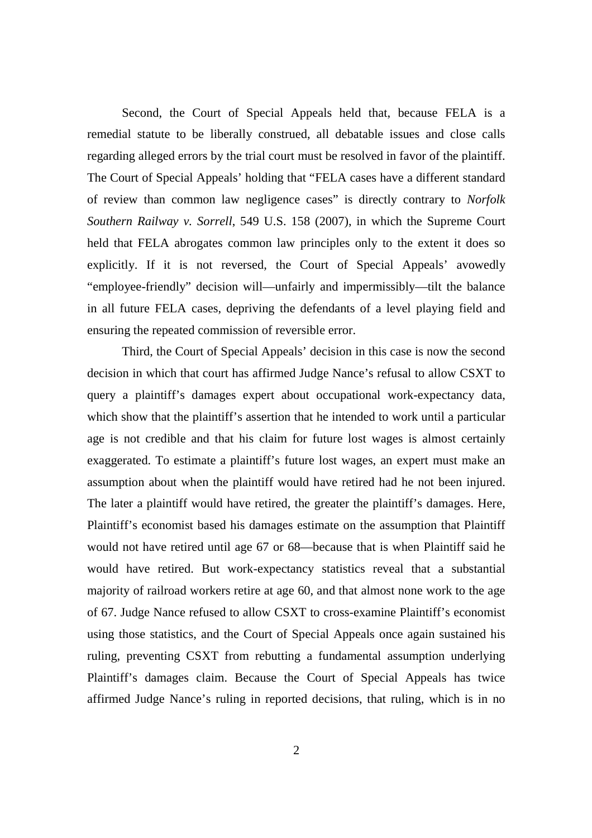Second, the Court of Special Appeals held that, because FELA is a remedial statute to be liberally construed, all debatable issues and close calls regarding alleged errors by the trial court must be resolved in favor of the plaintiff. The Court of Special Appeals' holding that "FELA cases have a different standard of review than common law negligence cases" is directly contrary to *Norfolk Southern Railway v. Sorrell*, 549 U.S. 158 (2007), in which the Supreme Court held that FELA abrogates common law principles only to the extent it does so explicitly. If it is not reversed, the Court of Special Appeals' avowedly "employee-friendly" decision will—unfairly and impermissibly—tilt the balance in all future FELA cases, depriving the defendants of a level playing field and ensuring the repeated commission of reversible error.

Third, the Court of Special Appeals' decision in this case is now the second decision in which that court has affirmed Judge Nance's refusal to allow CSXT to query a plaintiff's damages expert about occupational work-expectancy data, which show that the plaintiff's assertion that he intended to work until a particular age is not credible and that his claim for future lost wages is almost certainly exaggerated. To estimate a plaintiff's future lost wages, an expert must make an assumption about when the plaintiff would have retired had he not been injured. The later a plaintiff would have retired, the greater the plaintiff's damages. Here, Plaintiff's economist based his damages estimate on the assumption that Plaintiff would not have retired until age 67 or 68—because that is when Plaintiff said he would have retired. But work-expectancy statistics reveal that a substantial majority of railroad workers retire at age 60, and that almost none work to the age of 67. Judge Nance refused to allow CSXT to cross-examine Plaintiff's economist using those statistics, and the Court of Special Appeals once again sustained his ruling, preventing CSXT from rebutting a fundamental assumption underlying Plaintiff's damages claim. Because the Court of Special Appeals has twice affirmed Judge Nance's ruling in reported decisions, that ruling, which is in no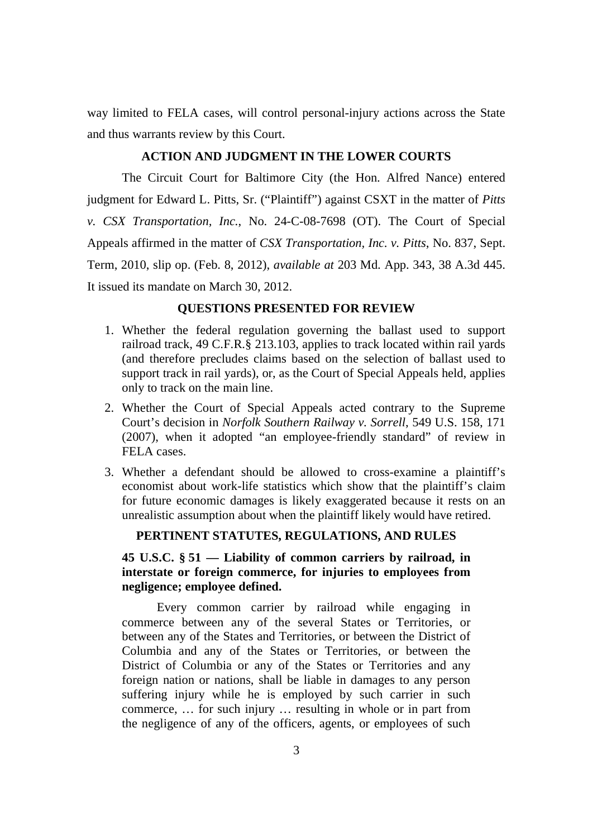way limited to FELA cases, will control personal-injury actions across the State and thus warrants review by this Court.

### **ACTION AND JUDGMENT IN THE LOWER COURTS**

The Circuit Court for Baltimore City (the Hon. Alfred Nance) entered judgment for Edward L. Pitts, Sr. ("Plaintiff") against CSXT in the matter of *Pitts v. CSX Transportation, Inc.*, No. 24-C-08-7698 (OT). The Court of Special Appeals affirmed in the matter of *CSX Transportation, Inc. v. Pitts*, No. 837, Sept. Term, 2010, slip op. (Feb. 8, 2012), *available at* 203 Md. App. 343, 38 A.3d 445. It issued its mandate on March 30, 2012.

### **QUESTIONS PRESENTED FOR REVIEW**

- 1. Whether the federal regulation governing the ballast used to support railroad track, 49 C.F.R.§ 213.103, applies to track located within rail yards (and therefore precludes claims based on the selection of ballast used to support track in rail yards), or, as the Court of Special Appeals held, applies only to track on the main line.
- 2. Whether the Court of Special Appeals acted contrary to the Supreme Court's decision in *Norfolk Southern Railway v. Sorrell*, 549 U.S. 158, 171 (2007), when it adopted "an employee-friendly standard" of review in FELA cases.
- 3. Whether a defendant should be allowed to cross-examine a plaintiff's economist about work-life statistics which show that the plaintiff's claim for future economic damages is likely exaggerated because it rests on an unrealistic assumption about when the plaintiff likely would have retired.

#### **PERTINENT STATUTES, REGULATIONS, AND RULES**

# **45 U.S.C. § 51 — Liability of common carriers by railroad, in interstate or foreign commerce, for injuries to employees from negligence; employee defined.**

Every common carrier by railroad while engaging in commerce between any of the several States or Territories, or between any of the States and Territories, or between the District of Columbia and any of the States or Territories, or between the District of Columbia or any of the States or Territories and any foreign nation or nations, shall be liable in damages to any person suffering injury while he is employed by such carrier in such commerce, … for such injury … resulting in whole or in part from the negligence of any of the officers, agents, or employees of such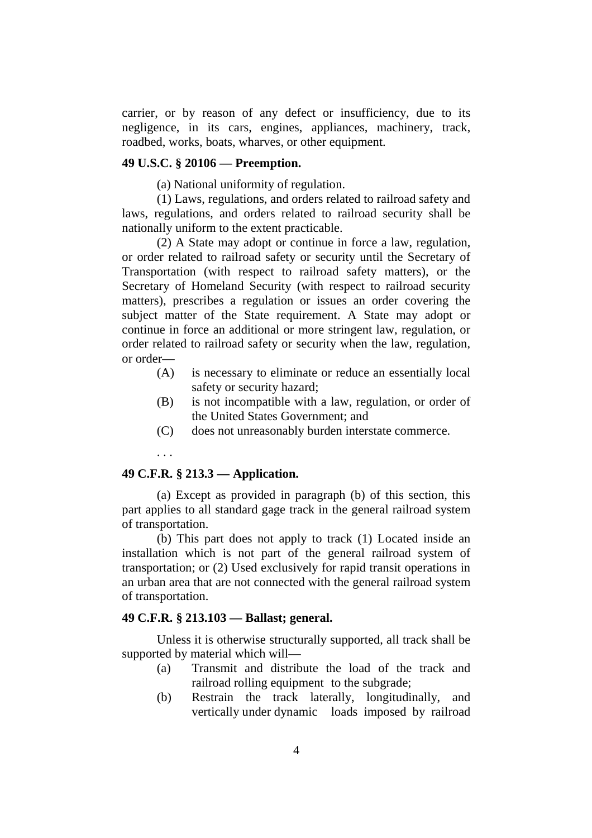carrier, or by reason of any defect or insufficiency, due to its negligence, in its cars, engines, appliances, machinery, track, roadbed, works, boats, wharves, or other equipment.

### **49 U.S.C. § 20106 — Preemption.**

(a) National uniformity of regulation.

(1) Laws, regulations, and orders related to railroad safety and laws, regulations, and orders related to railroad security shall be nationally uniform to the extent practicable.

(2) A State may adopt or continue in force a law, regulation, or order related to railroad safety or security until the Secretary of Transportation (with respect to railroad safety matters), or the Secretary of Homeland Security (with respect to railroad security matters), prescribes a regulation or issues an order covering the subject matter of the State requirement. A State may adopt or continue in force an additional or more stringent law, regulation, or order related to railroad safety or security when the law, regulation, or order—

- (A) is necessary to eliminate or reduce an essentially local safety or security hazard;
- (B) is not incompatible with a law, regulation, or order of the United States Government; and
- (C) does not unreasonably burden interstate commerce.

#### . . .

# **49 C.F.R. § 213.3 — Application.**

(a) Except as provided in paragraph (b) of this section, this part applies to all standard gage track in the general railroad system of transportation.

(b) This part does not apply to track (1) Located inside an installation which is not part of the general railroad system of transportation; or (2) Used exclusively for rapid transit operations in an urban area that are not connected with the general railroad system of transportation.

### **49 C.F.R. § 213.103 — Ballast; general.**

Unless it is otherwise structurally supported, all track shall be supported by material which will—

- (a) Transmit and distribute the load of the track and railroad rolling equipment to the subgrade;
- (b) Restrain the track laterally, longitudinally, and vertically under dynamic loads imposed by railroad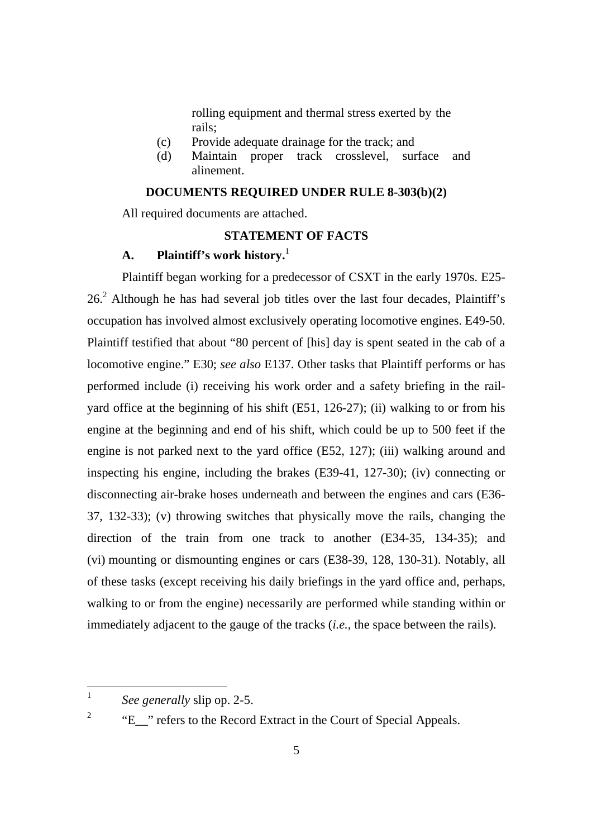rolling equipment and thermal stress exerted by the rails;

- (c) Provide adequate drainage for the track; and
- (d) Maintain proper track crosslevel, surface and alinement.

# **DOCUMENTS REQUIRED UNDER RULE 8-303(b)(2)**

All required documents are attached.

# **STATEMENT OF FACTS**

#### **A. Plaintiff's work history.**<sup>1</sup>

Plaintiff began working for a predecessor of CSXT in the early 1970s. E25-  $26<sup>2</sup>$  Although he has had several job titles over the last four decades, Plaintiff's occupation has involved almost exclusively operating locomotive engines. E49-50. Plaintiff testified that about "80 percent of [his] day is spent seated in the cab of a locomotive engine." E30; *see also* E137. Other tasks that Plaintiff performs or has performed include (i) receiving his work order and a safety briefing in the railyard office at the beginning of his shift (E51, 126-27); (ii) walking to or from his engine at the beginning and end of his shift, which could be up to 500 feet if the engine is not parked next to the yard office (E52, 127); (iii) walking around and inspecting his engine, including the brakes (E39-41, 127-30); (iv) connecting or disconnecting air-brake hoses underneath and between the engines and cars (E36- 37, 132-33); (v) throwing switches that physically move the rails, changing the direction of the train from one track to another (E34-35, 134-35); and (vi) mounting or dismounting engines or cars (E38-39, 128, 130-31). Notably, all of these tasks (except receiving his daily briefings in the yard office and, perhaps, walking to or from the engine) necessarily are performed while standing within or immediately adjacent to the gauge of the tracks (*i.e.*, the space between the rails).

2

<sup>1</sup> *See generally* slip op. 2-5.

<sup>&</sup>quot;E\_\_" refers to the Record Extract in the Court of Special Appeals.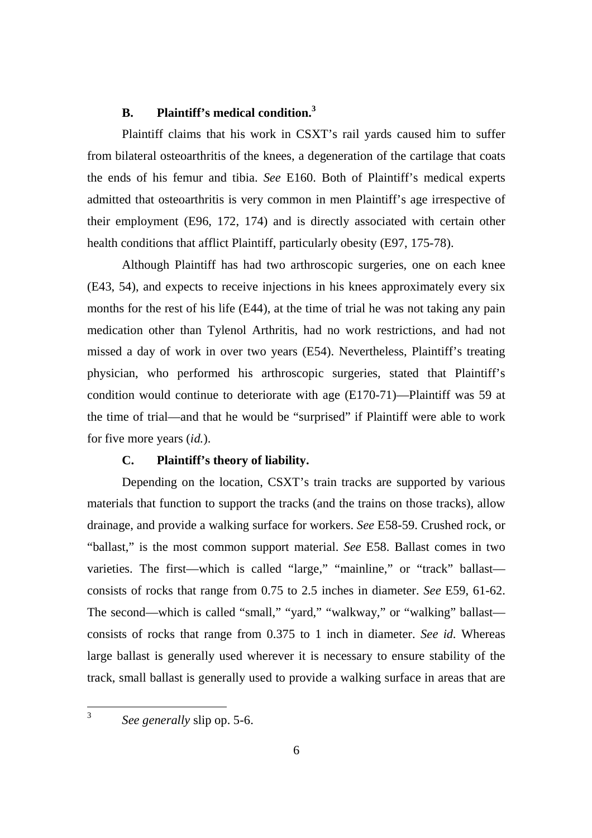### **B. Plaintiff's medical condition.<sup>3</sup>**

Plaintiff claims that his work in CSXT's rail yards caused him to suffer from bilateral osteoarthritis of the knees, a degeneration of the cartilage that coats the ends of his femur and tibia. *See* E160. Both of Plaintiff's medical experts admitted that osteoarthritis is very common in men Plaintiff's age irrespective of their employment (E96, 172, 174) and is directly associated with certain other health conditions that afflict Plaintiff, particularly obesity (E97, 175-78).

Although Plaintiff has had two arthroscopic surgeries, one on each knee (E43, 54), and expects to receive injections in his knees approximately every six months for the rest of his life (E44), at the time of trial he was not taking any pain medication other than Tylenol Arthritis, had no work restrictions, and had not missed a day of work in over two years (E54). Nevertheless, Plaintiff's treating physician, who performed his arthroscopic surgeries, stated that Plaintiff's condition would continue to deteriorate with age (E170-71)—Plaintiff was 59 at the time of trial—and that he would be "surprised" if Plaintiff were able to work for five more years (*id.*).

#### **C. Plaintiff's theory of liability.**

Depending on the location, CSXT's train tracks are supported by various materials that function to support the tracks (and the trains on those tracks), allow drainage, and provide a walking surface for workers. *See* E58-59. Crushed rock, or "ballast," is the most common support material. *See* E58. Ballast comes in two varieties. The first—which is called "large," "mainline," or "track" ballast consists of rocks that range from 0.75 to 2.5 inches in diameter. *See* E59, 61-62. The second—which is called "small," "yard," "walkway," or "walking" ballast consists of rocks that range from 0.375 to 1 inch in diameter. *See id.* Whereas large ballast is generally used wherever it is necessary to ensure stability of the track, small ballast is generally used to provide a walking surface in areas that are

3 *See generally* slip op. 5-6.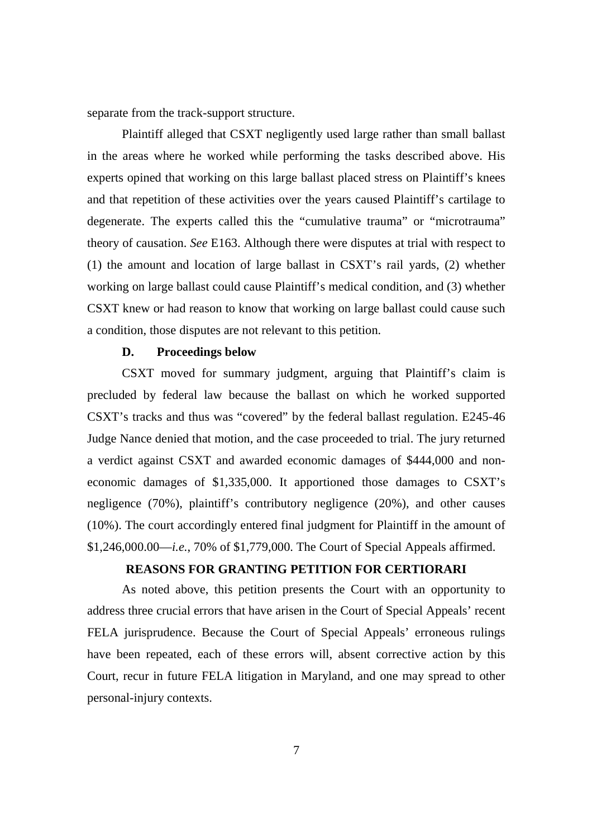separate from the track-support structure.

Plaintiff alleged that CSXT negligently used large rather than small ballast in the areas where he worked while performing the tasks described above. His experts opined that working on this large ballast placed stress on Plaintiff's knees and that repetition of these activities over the years caused Plaintiff's cartilage to degenerate. The experts called this the "cumulative trauma" or "microtrauma" theory of causation. *See* E163. Although there were disputes at trial with respect to (1) the amount and location of large ballast in CSXT's rail yards, (2) whether working on large ballast could cause Plaintiff's medical condition, and (3) whether CSXT knew or had reason to know that working on large ballast could cause such a condition, those disputes are not relevant to this petition.

#### **D. Proceedings below**

CSXT moved for summary judgment, arguing that Plaintiff's claim is precluded by federal law because the ballast on which he worked supported CSXT's tracks and thus was "covered" by the federal ballast regulation. E245-46 Judge Nance denied that motion, and the case proceeded to trial. The jury returned a verdict against CSXT and awarded economic damages of \$444,000 and noneconomic damages of \$1,335,000. It apportioned those damages to CSXT's negligence (70%), plaintiff's contributory negligence (20%), and other causes (10%). The court accordingly entered final judgment for Plaintiff in the amount of \$1,246,000.00—*i.e.*, 70% of \$1,779,000. The Court of Special Appeals affirmed.

### **REASONS FOR GRANTING PETITION FOR CERTIORARI**

As noted above, this petition presents the Court with an opportunity to address three crucial errors that have arisen in the Court of Special Appeals' recent FELA jurisprudence. Because the Court of Special Appeals' erroneous rulings have been repeated, each of these errors will, absent corrective action by this Court, recur in future FELA litigation in Maryland, and one may spread to other personal-injury contexts.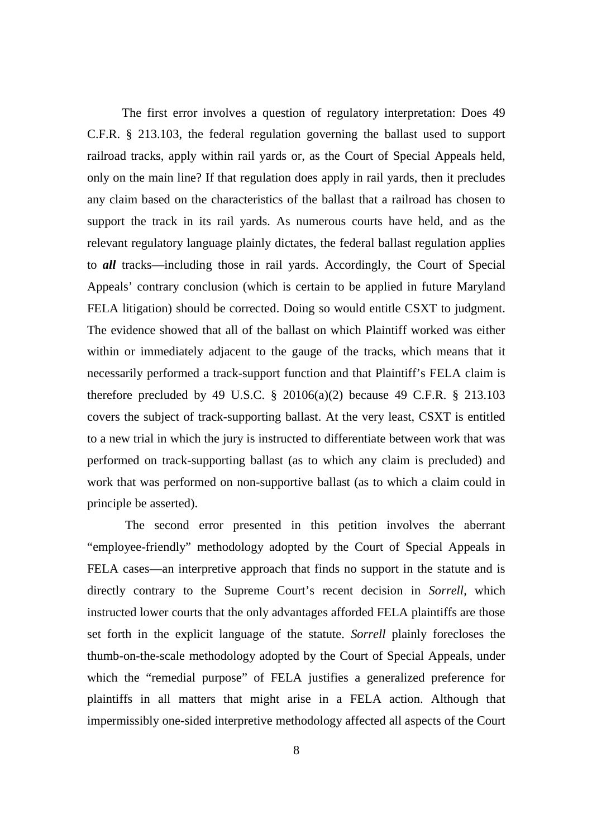The first error involves a question of regulatory interpretation: Does 49 C.F.R. § 213.103, the federal regulation governing the ballast used to support railroad tracks, apply within rail yards or, as the Court of Special Appeals held, only on the main line? If that regulation does apply in rail yards, then it precludes any claim based on the characteristics of the ballast that a railroad has chosen to support the track in its rail yards. As numerous courts have held, and as the relevant regulatory language plainly dictates, the federal ballast regulation applies to *all* tracks—including those in rail yards. Accordingly, the Court of Special Appeals' contrary conclusion (which is certain to be applied in future Maryland FELA litigation) should be corrected. Doing so would entitle CSXT to judgment. The evidence showed that all of the ballast on which Plaintiff worked was either within or immediately adjacent to the gauge of the tracks, which means that it necessarily performed a track-support function and that Plaintiff's FELA claim is therefore precluded by 49 U.S.C.  $\S$  20106(a)(2) because 49 C.F.R.  $\S$  213.103 covers the subject of track-supporting ballast. At the very least, CSXT is entitled to a new trial in which the jury is instructed to differentiate between work that was performed on track-supporting ballast (as to which any claim is precluded) and work that was performed on non-supportive ballast (as to which a claim could in principle be asserted).

The second error presented in this petition involves the aberrant "employee-friendly" methodology adopted by the Court of Special Appeals in FELA cases—an interpretive approach that finds no support in the statute and is directly contrary to the Supreme Court's recent decision in *Sorrell*, which instructed lower courts that the only advantages afforded FELA plaintiffs are those set forth in the explicit language of the statute. *Sorrell* plainly forecloses the thumb-on-the-scale methodology adopted by the Court of Special Appeals, under which the "remedial purpose" of FELA justifies a generalized preference for plaintiffs in all matters that might arise in a FELA action. Although that impermissibly one-sided interpretive methodology affected all aspects of the Court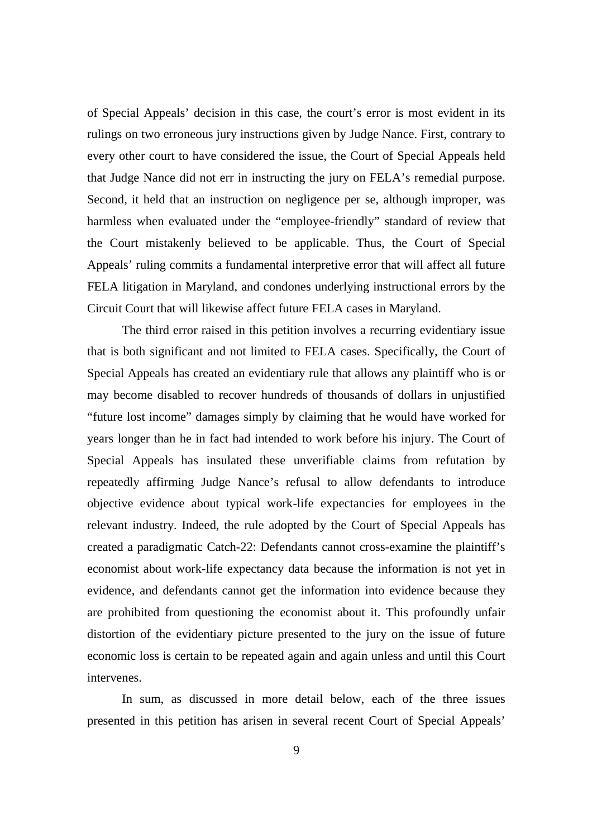of Special Appeals' decision in this case, the court's error is most evident in its rulings on two erroneous jury instructions given by Judge Nance. First, contrary to every other court to have considered the issue, the Court of Special Appeals held that Judge Nance did not err in instructing the jury on FELA's remedial purpose. Second, it held that an instruction on negligence per se, although improper, was harmless when evaluated under the "employee-friendly" standard of review that the Court mistakenly believed to be applicable. Thus, the Court of Special Appeals' ruling commits a fundamental interpretive error that will affect all future FELA litigation in Maryland, and condones underlying instructional errors by the Circuit Court that will likewise affect future FELA cases in Maryland.

The third error raised in this petition involves a recurring evidentiary issue that is both significant and not limited to FELA cases. Specifically, the Court of Special Appeals has created an evidentiary rule that allows any plaintiff who is or may become disabled to recover hundreds of thousands of dollars in unjustified "future lost income" damages simply by claiming that he would have worked for years longer than he in fact had intended to work before his injury. The Court of Special Appeals has insulated these unverifiable claims from refutation by repeatedly affirming Judge Nance's refusal to allow defendants to introduce objective evidence about typical work-life expectancies for employees in the relevant industry. Indeed, the rule adopted by the Court of Special Appeals has created a paradigmatic Catch-22: Defendants cannot cross-examine the plaintiff's economist about work-life expectancy data because the information is not yet in evidence, and defendants cannot get the information into evidence because they are prohibited from questioning the economist about it. This profoundly unfair distortion of the evidentiary picture presented to the jury on the issue of future economic loss is certain to be repeated again and again unless and until this Court intervenes.

In sum, as discussed in more detail below, each of the three issues presented in this petition has arisen in several recent Court of Special Appeals'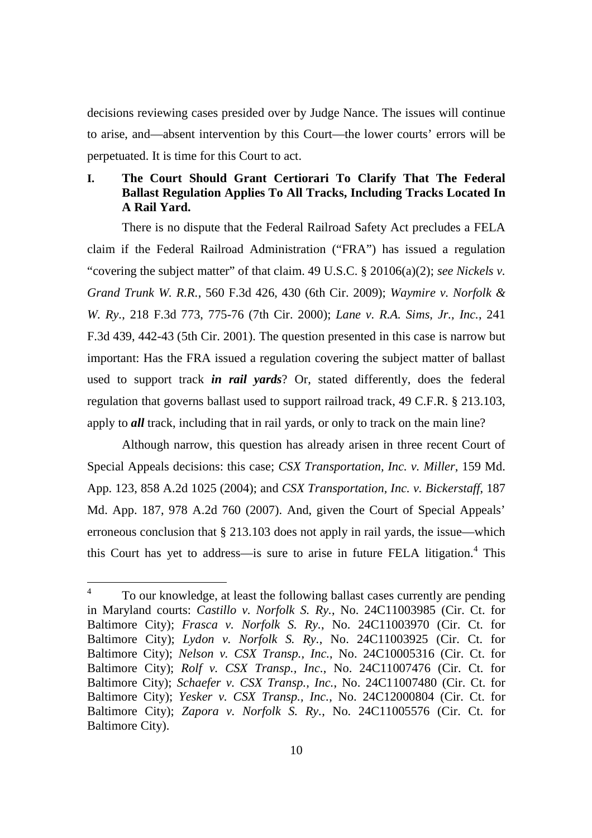decisions reviewing cases presided over by Judge Nance. The issues will continue to arise, and—absent intervention by this Court—the lower courts' errors will be perpetuated. It is time for this Court to act.

# **I. The Court Should Grant Certiorari To Clarify That The Federal Ballast Regulation Applies To All Tracks, Including Tracks Located In A Rail Yard.**

There is no dispute that the Federal Railroad Safety Act precludes a FELA claim if the Federal Railroad Administration ("FRA") has issued a regulation "covering the subject matter" of that claim. 49 U.S.C. § 20106(a)(2); *see Nickels v. Grand Trunk W. R.R.*, 560 F.3d 426, 430 (6th Cir. 2009); *Waymire v. Norfolk & W. Ry.*, 218 F.3d 773, 775-76 (7th Cir. 2000); *Lane v. R.A. Sims, Jr., Inc.*, 241 F.3d 439, 442-43 (5th Cir. 2001). The question presented in this case is narrow but important: Has the FRA issued a regulation covering the subject matter of ballast used to support track *in rail yards*? Or, stated differently, does the federal regulation that governs ballast used to support railroad track, 49 C.F.R. § 213.103, apply to *all* track, including that in rail yards, or only to track on the main line?

Although narrow, this question has already arisen in three recent Court of Special Appeals decisions: this case; *CSX Transportation, Inc. v. Miller*, 159 Md. App. 123, 858 A.2d 1025 (2004); and *CSX Transportation, Inc. v. Bickerstaff*, 187 Md. App. 187, 978 A.2d 760 (2007). And, given the Court of Special Appeals' erroneous conclusion that § 213.103 does not apply in rail yards, the issue—which this Court has yet to address—is sure to arise in future FELA litigation.<sup>4</sup> This

<sup>4</sup> To our knowledge, at least the following ballast cases currently are pending in Maryland courts: *Castillo v. Norfolk S. Ry.*, No. 24C11003985 (Cir. Ct. for Baltimore City); *Frasca v. Norfolk S. Ry.*, No. 24C11003970 (Cir. Ct. for Baltimore City); *Lydon v. Norfolk S. Ry.*, No. 24C11003925 (Cir. Ct. for Baltimore City); *Nelson v. CSX Transp., Inc.*, No. 24C10005316 (Cir. Ct. for Baltimore City); *Rolf v. CSX Transp., Inc.*, No. 24C11007476 (Cir. Ct. for Baltimore City); *Schaefer v. CSX Transp., Inc.*, No. 24C11007480 (Cir. Ct. for Baltimore City); *Yesker v. CSX Transp., Inc.*, No. 24C12000804 (Cir. Ct. for Baltimore City); *Zapora v. Norfolk S. Ry.*, No. 24C11005576 (Cir. Ct. for Baltimore City).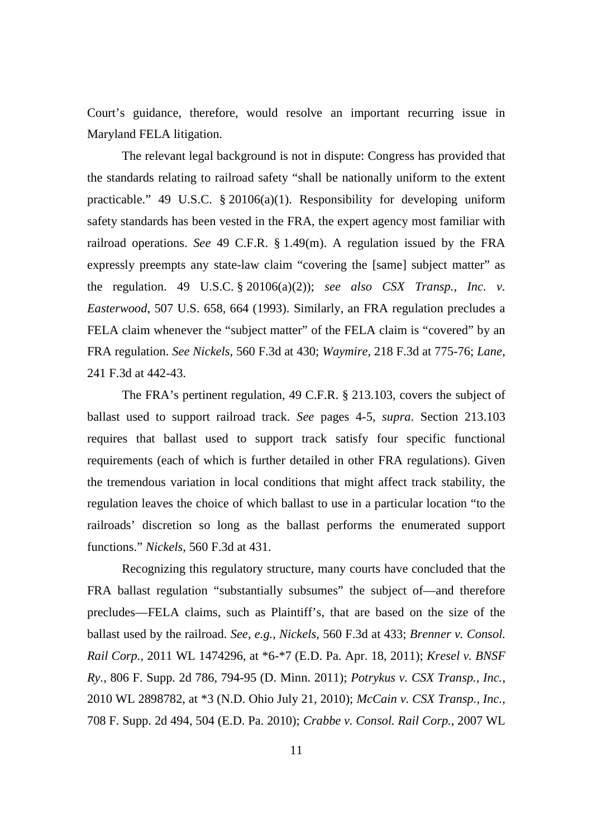Court's guidance, therefore, would resolve an important recurring issue in Maryland FELA litigation.

The relevant legal background is not in dispute: Congress has provided that the standards relating to railroad safety "shall be nationally uniform to the extent practicable." 49 U.S.C. § 20106(a)(1). Responsibility for developing uniform safety standards has been vested in the FRA, the expert agency most familiar with railroad operations. *See* 49 C.F.R. § 1.49(m). A regulation issued by the FRA expressly preempts any state-law claim "covering the [same] subject matter" as the regulation. 49 U.S.C. § 20106(a)(2)); *see also CSX Transp., Inc. v. Easterwood*, 507 U.S. 658, 664 (1993). Similarly, an FRA regulation precludes a FELA claim whenever the "subject matter" of the FELA claim is "covered" by an FRA regulation. *See Nickels*, 560 F.3d at 430; *Waymire*, 218 F.3d at 775-76; *Lane*, 241 F.3d at 442-43.

The FRA's pertinent regulation, 49 C.F.R. § 213.103, covers the subject of ballast used to support railroad track. *See* pages 4-5, *supra*. Section 213.103 requires that ballast used to support track satisfy four specific functional requirements (each of which is further detailed in other FRA regulations). Given the tremendous variation in local conditions that might affect track stability, the regulation leaves the choice of which ballast to use in a particular location "to the railroads' discretion so long as the ballast performs the enumerated support functions." *Nickels*, 560 F.3d at 431.

Recognizing this regulatory structure, many courts have concluded that the FRA ballast regulation "substantially subsumes" the subject of—and therefore precludes—FELA claims, such as Plaintiff's, that are based on the size of the ballast used by the railroad. *See, e.g.*, *Nickels*, 560 F.3d at 433; *Brenner v. Consol. Rail Corp.*, 2011 WL 1474296, at \*6-\*7 (E.D. Pa. Apr. 18, 2011); *Kresel v. BNSF Ry.*, 806 F. Supp. 2d 786, 794-95 (D. Minn. 2011); *Potrykus v. CSX Transp., Inc.*, 2010 WL 2898782, at \*3 (N.D. Ohio July 21, 2010); *McCain v. CSX Transp., Inc.*, 708 F. Supp. 2d 494, 504 (E.D. Pa. 2010); *Crabbe v. Consol. Rail Corp.*, 2007 WL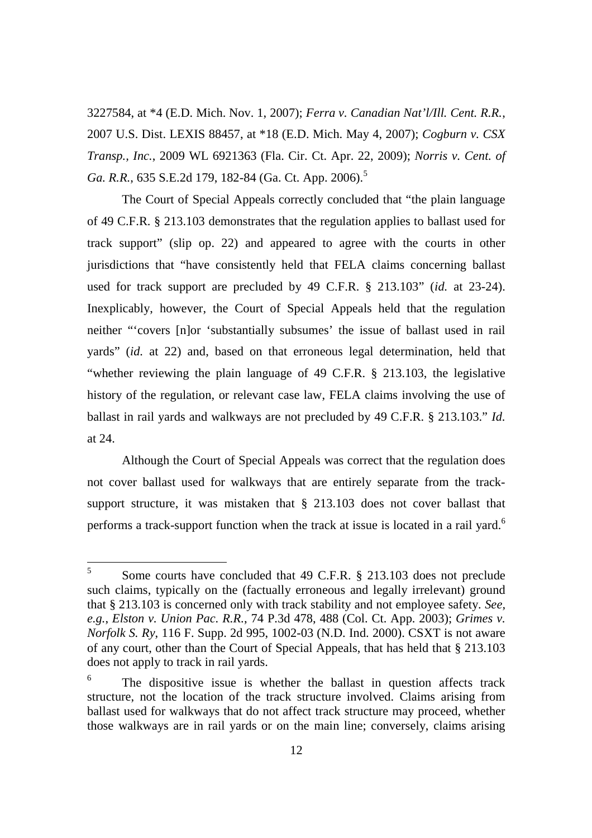3227584, at \*4 (E.D. Mich. Nov. 1, 2007); *Ferra v. Canadian Nat'l/Ill. Cent. R.R.*, 2007 U.S. Dist. LEXIS 88457, at \*18 (E.D. Mich. May 4, 2007); *Cogburn v. CSX Transp., Inc.*, 2009 WL 6921363 (Fla. Cir. Ct. Apr. 22, 2009); *Norris v. Cent. of* Ga. R.R., 635 S.E.2d 179, 182-84 (Ga. Ct. App. 2006).<sup>5</sup>

The Court of Special Appeals correctly concluded that "the plain language of 49 C.F.R. § 213.103 demonstrates that the regulation applies to ballast used for track support" (slip op. 22) and appeared to agree with the courts in other jurisdictions that "have consistently held that FELA claims concerning ballast used for track support are precluded by 49 C.F.R. § 213.103" (*id.* at 23-24). Inexplicably, however, the Court of Special Appeals held that the regulation neither "'covers [n]or 'substantially subsumes' the issue of ballast used in rail yards" (*id.* at 22) and, based on that erroneous legal determination, held that "whether reviewing the plain language of 49 C.F.R. § 213.103, the legislative history of the regulation, or relevant case law, FELA claims involving the use of ballast in rail yards and walkways are not precluded by 49 C.F.R. § 213.103." *Id.* at 24.

Although the Court of Special Appeals was correct that the regulation does not cover ballast used for walkways that are entirely separate from the tracksupport structure, it was mistaken that § 213.103 does not cover ballast that performs a track-support function when the track at issue is located in a rail yard.<sup>6</sup>

<sup>5</sup> Some courts have concluded that 49 C.F.R. § 213.103 does not preclude such claims, typically on the (factually erroneous and legally irrelevant) ground that § 213.103 is concerned only with track stability and not employee safety. *See, e.g.*, *Elston v. Union Pac. R.R.*, 74 P.3d 478, 488 (Col. Ct. App. 2003); *Grimes v. Norfolk S. Ry*, 116 F. Supp. 2d 995, 1002-03 (N.D. Ind. 2000). CSXT is not aware of any court, other than the Court of Special Appeals, that has held that § 213.103 does not apply to track in rail yards.

<sup>6</sup> The dispositive issue is whether the ballast in question affects track structure, not the location of the track structure involved. Claims arising from ballast used for walkways that do not affect track structure may proceed, whether those walkways are in rail yards or on the main line; conversely, claims arising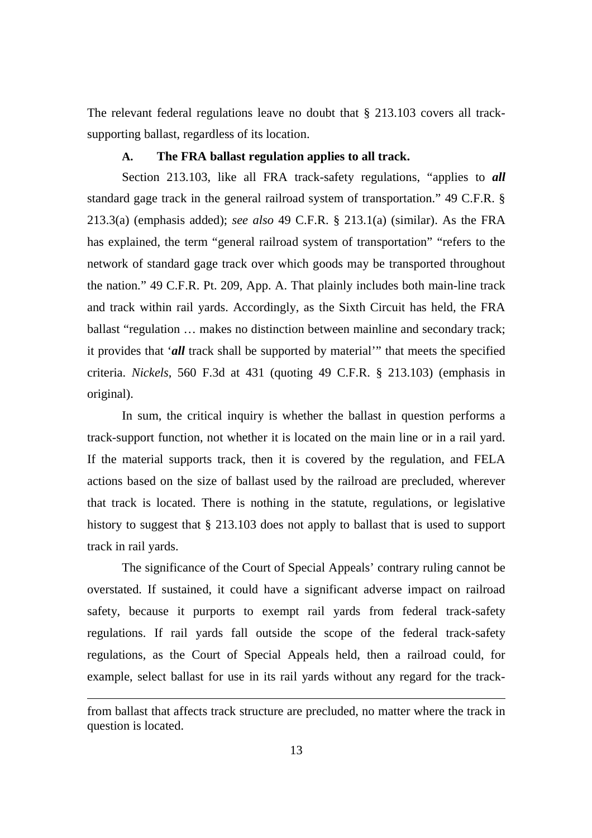The relevant federal regulations leave no doubt that § 213.103 covers all tracksupporting ballast, regardless of its location.

#### **A. The FRA ballast regulation applies to all track.**

Section 213.103, like all FRA track-safety regulations, "applies to *all* standard gage track in the general railroad system of transportation." 49 C.F.R. § 213.3(a) (emphasis added); *see also* 49 C.F.R. § 213.1(a) (similar). As the FRA has explained, the term "general railroad system of transportation" "refers to the network of standard gage track over which goods may be transported throughout the nation." 49 C.F.R. Pt. 209, App. A. That plainly includes both main-line track and track within rail yards. Accordingly, as the Sixth Circuit has held, the FRA ballast "regulation … makes no distinction between mainline and secondary track; it provides that '*all* track shall be supported by material'" that meets the specified criteria. *Nickels*, 560 F.3d at 431 (quoting 49 C.F.R. § 213.103) (emphasis in original).

In sum, the critical inquiry is whether the ballast in question performs a track-support function, not whether it is located on the main line or in a rail yard. If the material supports track, then it is covered by the regulation, and FELA actions based on the size of ballast used by the railroad are precluded, wherever that track is located. There is nothing in the statute, regulations, or legislative history to suggest that § 213.103 does not apply to ballast that is used to support track in rail yards.

The significance of the Court of Special Appeals' contrary ruling cannot be overstated. If sustained, it could have a significant adverse impact on railroad safety, because it purports to exempt rail yards from federal track-safety regulations. If rail yards fall outside the scope of the federal track-safety regulations, as the Court of Special Appeals held, then a railroad could, for example, select ballast for use in its rail yards without any regard for the track-

from ballast that affects track structure are precluded, no matter where the track in question is located.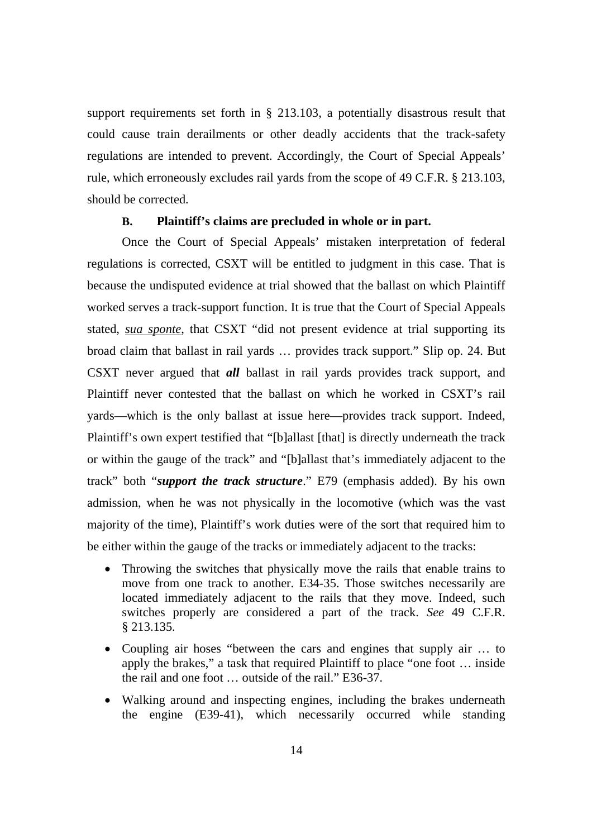support requirements set forth in § 213.103, a potentially disastrous result that could cause train derailments or other deadly accidents that the track-safety regulations are intended to prevent. Accordingly, the Court of Special Appeals' rule, which erroneously excludes rail yards from the scope of 49 C.F.R. § 213.103, should be corrected.

#### **B. Plaintiff's claims are precluded in whole or in part.**

Once the Court of Special Appeals' mistaken interpretation of federal regulations is corrected, CSXT will be entitled to judgment in this case. That is because the undisputed evidence at trial showed that the ballast on which Plaintiff worked serves a track-support function. It is true that the Court of Special Appeals stated, *sua sponte*, that CSXT "did not present evidence at trial supporting its broad claim that ballast in rail yards … provides track support." Slip op. 24. But CSXT never argued that *all* ballast in rail yards provides track support, and Plaintiff never contested that the ballast on which he worked in CSXT's rail yards—which is the only ballast at issue here—provides track support. Indeed, Plaintiff's own expert testified that "[b]allast [that] is directly underneath the track or within the gauge of the track" and "[b]allast that's immediately adjacent to the track" both "*support the track structure*." E79 (emphasis added). By his own admission, when he was not physically in the locomotive (which was the vast majority of the time), Plaintiff's work duties were of the sort that required him to be either within the gauge of the tracks or immediately adjacent to the tracks:

- Throwing the switches that physically move the rails that enable trains to move from one track to another. E34-35. Those switches necessarily are located immediately adjacent to the rails that they move. Indeed, such switches properly are considered a part of the track. *See* 49 C.F.R. § 213.135.
- Coupling air hoses "between the cars and engines that supply air … to apply the brakes," a task that required Plaintiff to place "one foot … inside the rail and one foot … outside of the rail." E36-37.
- Walking around and inspecting engines, including the brakes underneath the engine (E39-41), which necessarily occurred while standing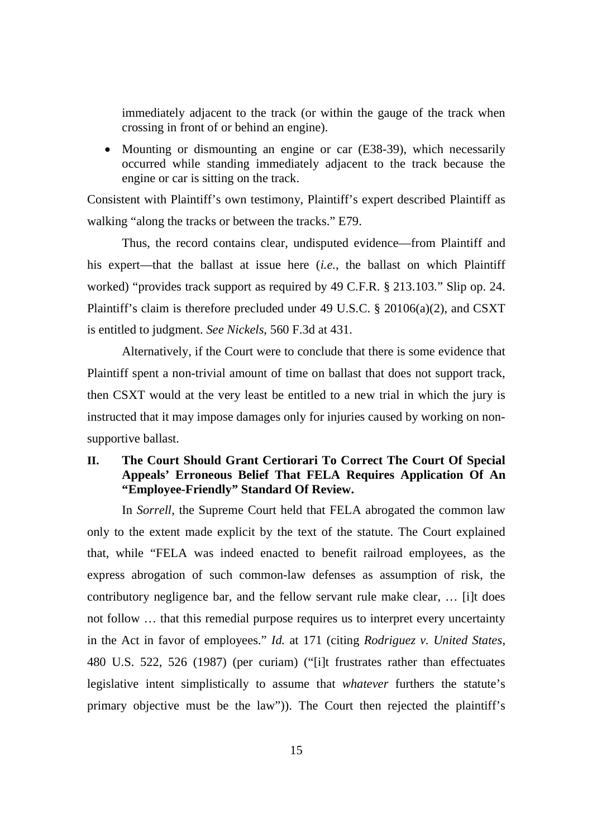immediately adjacent to the track (or within the gauge of the track when crossing in front of or behind an engine).

• Mounting or dismounting an engine or car (E38-39), which necessarily occurred while standing immediately adjacent to the track because the engine or car is sitting on the track.

Consistent with Plaintiff's own testimony, Plaintiff's expert described Plaintiff as walking "along the tracks or between the tracks." E79.

Thus, the record contains clear, undisputed evidence—from Plaintiff and his expert—that the ballast at issue here (*i.e.*, the ballast on which Plaintiff worked) "provides track support as required by 49 C.F.R. § 213.103." Slip op. 24. Plaintiff's claim is therefore precluded under 49 U.S.C. § 20106(a)(2), and CSXT is entitled to judgment. *See Nickels*, 560 F.3d at 431.

Alternatively, if the Court were to conclude that there is some evidence that Plaintiff spent a non-trivial amount of time on ballast that does not support track, then CSXT would at the very least be entitled to a new trial in which the jury is instructed that it may impose damages only for injuries caused by working on nonsupportive ballast.

# **II. The Court Should Grant Certiorari To Correct The Court Of Special Appeals' Erroneous Belief That FELA Requires Application Of An "Employee-Friendly" Standard Of Review.**

In *Sorrell*, the Supreme Court held that FELA abrogated the common law only to the extent made explicit by the text of the statute. The Court explained that, while "FELA was indeed enacted to benefit railroad employees, as the express abrogation of such common-law defenses as assumption of risk, the contributory negligence bar, and the fellow servant rule make clear, … [i]t does not follow … that this remedial purpose requires us to interpret every uncertainty in the Act in favor of employees." *Id.* at 171 (citing *Rodriguez v. United States*, 480 U.S. 522, 526 (1987) (per curiam) ("[i]t frustrates rather than effectuates legislative intent simplistically to assume that *whatever* furthers the statute's primary objective must be the law")). The Court then rejected the plaintiff's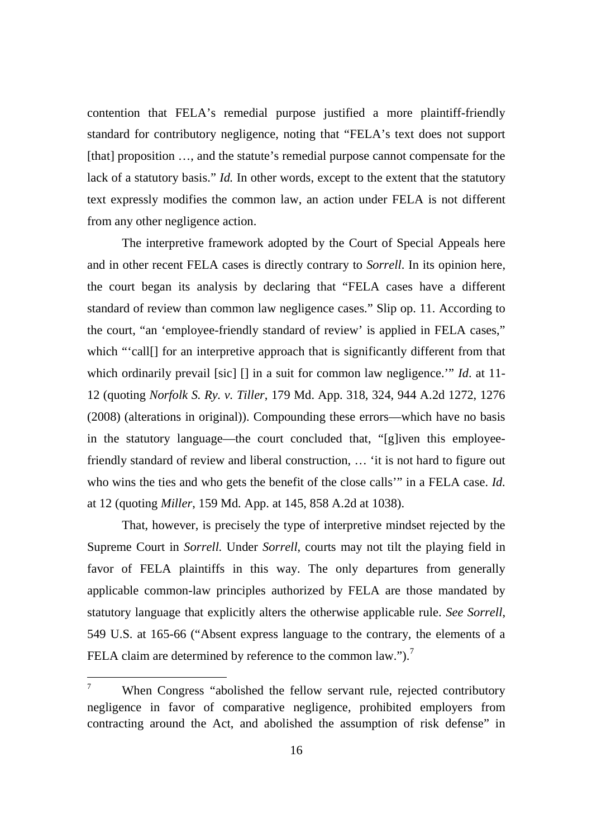contention that FELA's remedial purpose justified a more plaintiff-friendly standard for contributory negligence, noting that "FELA's text does not support [that] proposition ..., and the statute's remedial purpose cannot compensate for the lack of a statutory basis." *Id.* In other words, except to the extent that the statutory text expressly modifies the common law, an action under FELA is not different from any other negligence action.

The interpretive framework adopted by the Court of Special Appeals here and in other recent FELA cases is directly contrary to *Sorrell*. In its opinion here, the court began its analysis by declaring that "FELA cases have a different standard of review than common law negligence cases." Slip op. 11. According to the court, "an 'employee-friendly standard of review' is applied in FELA cases," which "'call[] for an interpretive approach that is significantly different from that which ordinarily prevail [sic] [] in a suit for common law negligence.'" *Id*. at 11- 12 (quoting *Norfolk S. Ry. v. Tiller*, 179 Md. App. 318, 324, 944 A.2d 1272, 1276 (2008) (alterations in original)). Compounding these errors—which have no basis in the statutory language—the court concluded that, "[g]iven this employeefriendly standard of review and liberal construction, … 'it is not hard to figure out who wins the ties and who gets the benefit of the close calls'" in a FELA case. *Id.* at 12 (quoting *Miller*, 159 Md. App. at 145, 858 A.2d at 1038).

That, however, is precisely the type of interpretive mindset rejected by the Supreme Court in *Sorrell.* Under *Sorrell*, courts may not tilt the playing field in favor of FELA plaintiffs in this way. The only departures from generally applicable common-law principles authorized by FELA are those mandated by statutory language that explicitly alters the otherwise applicable rule. *See Sorrell*, 549 U.S. at 165-66 ("Absent express language to the contrary, the elements of a FELA claim are determined by reference to the common law.").<sup>7</sup>

When Congress "abolished the fellow servant rule, rejected contributory negligence in favor of comparative negligence, prohibited employers from contracting around the Act, and abolished the assumption of risk defense" in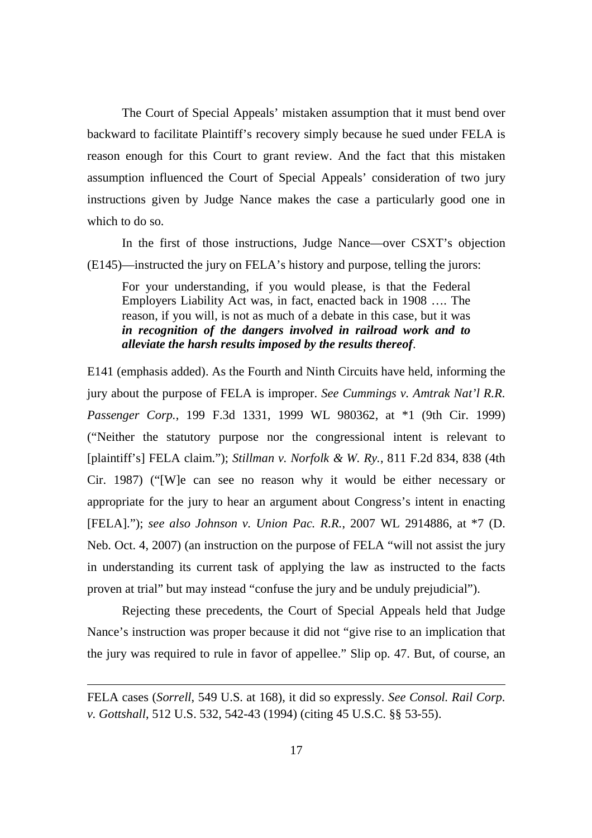The Court of Special Appeals' mistaken assumption that it must bend over backward to facilitate Plaintiff's recovery simply because he sued under FELA is reason enough for this Court to grant review. And the fact that this mistaken assumption influenced the Court of Special Appeals' consideration of two jury instructions given by Judge Nance makes the case a particularly good one in which to do so.

In the first of those instructions, Judge Nance—over CSXT's objection (E145)—instructed the jury on FELA's history and purpose, telling the jurors:

For your understanding, if you would please, is that the Federal Employers Liability Act was, in fact, enacted back in 1908 …. The reason, if you will, is not as much of a debate in this case, but it was *in recognition of the dangers involved in railroad work and to alleviate the harsh results imposed by the results thereof*.

E141 (emphasis added). As the Fourth and Ninth Circuits have held, informing the jury about the purpose of FELA is improper. *See Cummings v. Amtrak Nat'l R.R. Passenger Corp.*, 199 F.3d 1331, 1999 WL 980362, at \*1 (9th Cir. 1999) ("Neither the statutory purpose nor the congressional intent is relevant to [plaintiff's] FELA claim."); *Stillman v. Norfolk & W. Ry.*, 811 F.2d 834, 838 (4th Cir. 1987) ("[W]e can see no reason why it would be either necessary or appropriate for the jury to hear an argument about Congress's intent in enacting [FELA]."); *see also Johnson v. Union Pac. R.R.*, 2007 WL 2914886, at \*7 (D. Neb. Oct. 4, 2007) (an instruction on the purpose of FELA "will not assist the jury in understanding its current task of applying the law as instructed to the facts proven at trial" but may instead "confuse the jury and be unduly prejudicial").

Rejecting these precedents, the Court of Special Appeals held that Judge Nance's instruction was proper because it did not "give rise to an implication that the jury was required to rule in favor of appellee." Slip op. 47. But, of course, an

FELA cases (*Sorrell*, 549 U.S. at 168), it did so expressly. *See Consol. Rail Corp. v. Gottshall*, 512 U.S. 532, 542-43 (1994) (citing 45 U.S.C. §§ 53-55).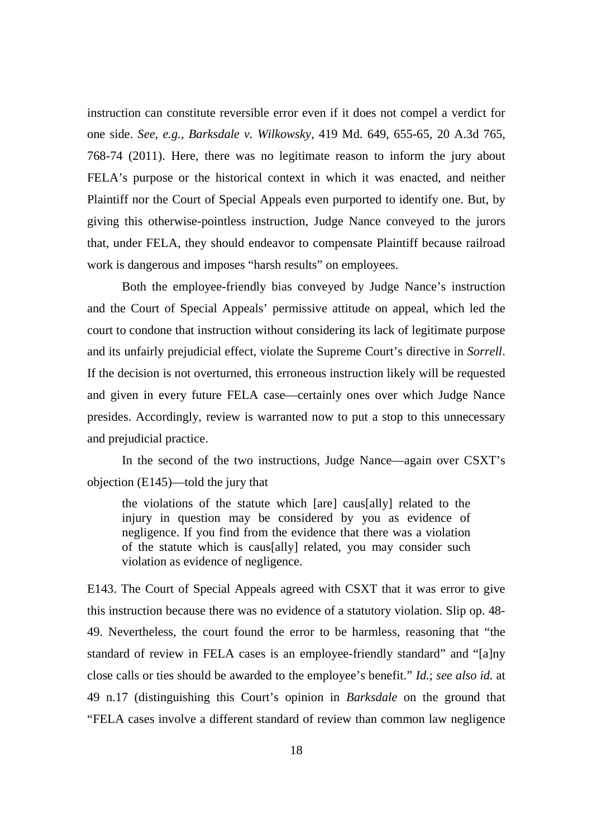instruction can constitute reversible error even if it does not compel a verdict for one side. *See, e.g.*, *Barksdale v. Wilkowsky*, 419 Md. 649, 655-65, 20 A.3d 765, 768-74 (2011). Here, there was no legitimate reason to inform the jury about FELA's purpose or the historical context in which it was enacted, and neither Plaintiff nor the Court of Special Appeals even purported to identify one. But, by giving this otherwise-pointless instruction, Judge Nance conveyed to the jurors that, under FELA, they should endeavor to compensate Plaintiff because railroad work is dangerous and imposes "harsh results" on employees.

Both the employee-friendly bias conveyed by Judge Nance's instruction and the Court of Special Appeals' permissive attitude on appeal, which led the court to condone that instruction without considering its lack of legitimate purpose and its unfairly prejudicial effect, violate the Supreme Court's directive in *Sorrell*. If the decision is not overturned, this erroneous instruction likely will be requested and given in every future FELA case—certainly ones over which Judge Nance presides. Accordingly, review is warranted now to put a stop to this unnecessary and prejudicial practice.

In the second of the two instructions, Judge Nance—again over CSXT's objection (E145)—told the jury that

the violations of the statute which [are] caus[ally] related to the injury in question may be considered by you as evidence of negligence. If you find from the evidence that there was a violation of the statute which is caus[ally] related, you may consider such violation as evidence of negligence.

E143. The Court of Special Appeals agreed with CSXT that it was error to give this instruction because there was no evidence of a statutory violation. Slip op. 48- 49. Nevertheless, the court found the error to be harmless, reasoning that "the standard of review in FELA cases is an employee-friendly standard" and "[a]ny close calls or ties should be awarded to the employee's benefit." *Id.*; *see also id.* at 49 n.17 (distinguishing this Court's opinion in *Barksdale* on the ground that "FELA cases involve a different standard of review than common law negligence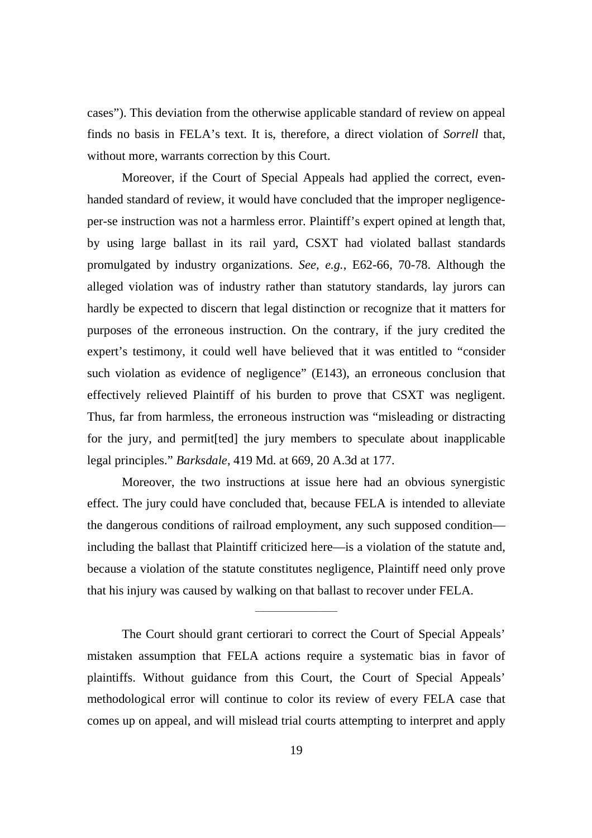cases"). This deviation from the otherwise applicable standard of review on appeal finds no basis in FELA's text. It is, therefore, a direct violation of *Sorrell* that, without more, warrants correction by this Court.

Moreover, if the Court of Special Appeals had applied the correct, evenhanded standard of review, it would have concluded that the improper negligenceper-se instruction was not a harmless error. Plaintiff's expert opined at length that, by using large ballast in its rail yard, CSXT had violated ballast standards promulgated by industry organizations. *See, e.g.*, E62-66, 70-78. Although the alleged violation was of industry rather than statutory standards, lay jurors can hardly be expected to discern that legal distinction or recognize that it matters for purposes of the erroneous instruction. On the contrary, if the jury credited the expert's testimony, it could well have believed that it was entitled to "consider such violation as evidence of negligence" (E143), an erroneous conclusion that effectively relieved Plaintiff of his burden to prove that CSXT was negligent. Thus, far from harmless, the erroneous instruction was "misleading or distracting for the jury, and permit[ted] the jury members to speculate about inapplicable legal principles." *Barksdale*, 419 Md. at 669, 20 A.3d at 177.

Moreover, the two instructions at issue here had an obvious synergistic effect. The jury could have concluded that, because FELA is intended to alleviate the dangerous conditions of railroad employment, any such supposed condition including the ballast that Plaintiff criticized here—is a violation of the statute and, because a violation of the statute constitutes negligence, Plaintiff need only prove that his injury was caused by walking on that ballast to recover under FELA.

The Court should grant certiorari to correct the Court of Special Appeals' mistaken assumption that FELA actions require a systematic bias in favor of plaintiffs. Without guidance from this Court, the Court of Special Appeals' methodological error will continue to color its review of every FELA case that comes up on appeal, and will mislead trial courts attempting to interpret and apply

 $\mathcal{L}$  and  $\mathcal{L}$  are the set of the set of the set of the set of the set of the set of the set of the set of the set of the set of the set of the set of the set of the set of the set of the set of the set of the set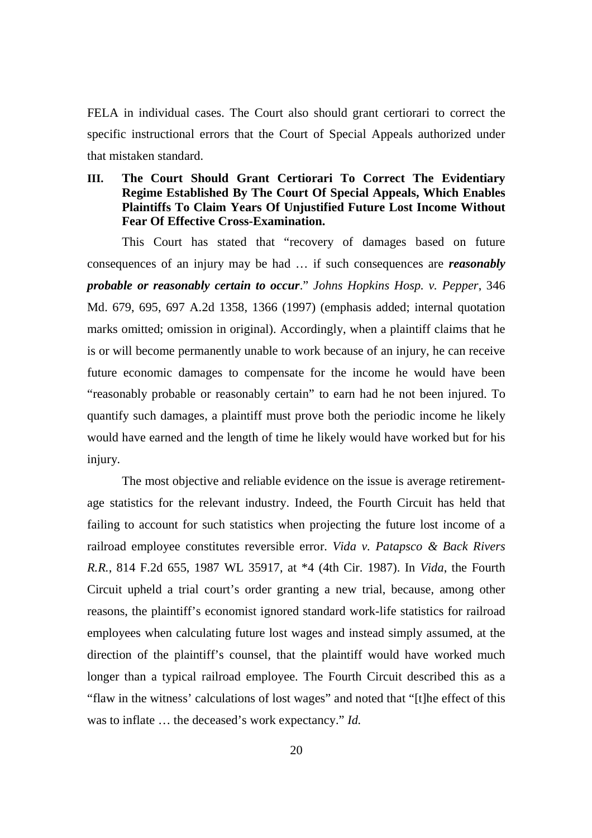FELA in individual cases. The Court also should grant certiorari to correct the specific instructional errors that the Court of Special Appeals authorized under that mistaken standard.

# **III. The Court Should Grant Certiorari To Correct The Evidentiary Regime Established By The Court Of Special Appeals, Which Enables Plaintiffs To Claim Years Of Unjustified Future Lost Income Without Fear Of Effective Cross-Examination.**

This Court has stated that "recovery of damages based on future consequences of an injury may be had … if such consequences are *reasonably probable or reasonably certain to occur*." *Johns Hopkins Hosp. v. Pepper*, 346 Md. 679, 695, 697 A.2d 1358, 1366 (1997) (emphasis added; internal quotation marks omitted; omission in original). Accordingly, when a plaintiff claims that he is or will become permanently unable to work because of an injury, he can receive future economic damages to compensate for the income he would have been "reasonably probable or reasonably certain" to earn had he not been injured. To quantify such damages, a plaintiff must prove both the periodic income he likely would have earned and the length of time he likely would have worked but for his injury.

The most objective and reliable evidence on the issue is average retirementage statistics for the relevant industry. Indeed, the Fourth Circuit has held that failing to account for such statistics when projecting the future lost income of a railroad employee constitutes reversible error. *Vida v. Patapsco & Back Rivers R.R.*, 814 F.2d 655, 1987 WL 35917, at \*4 (4th Cir. 1987). In *Vida*, the Fourth Circuit upheld a trial court's order granting a new trial, because, among other reasons, the plaintiff's economist ignored standard work-life statistics for railroad employees when calculating future lost wages and instead simply assumed, at the direction of the plaintiff's counsel, that the plaintiff would have worked much longer than a typical railroad employee. The Fourth Circuit described this as a "flaw in the witness' calculations of lost wages" and noted that "[t]he effect of this was to inflate … the deceased's work expectancy." *Id.*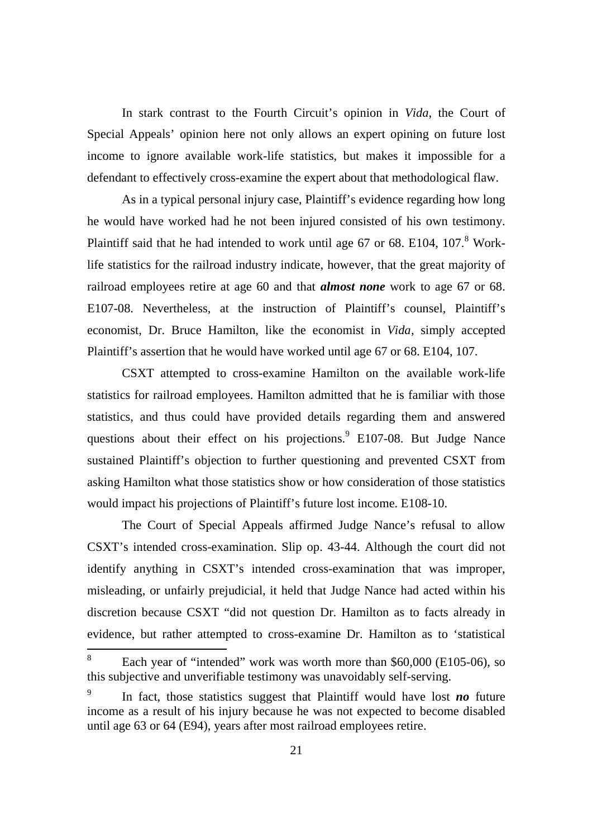In stark contrast to the Fourth Circuit's opinion in *Vida*, the Court of Special Appeals' opinion here not only allows an expert opining on future lost income to ignore available work-life statistics, but makes it impossible for a defendant to effectively cross-examine the expert about that methodological flaw.

As in a typical personal injury case, Plaintiff's evidence regarding how long he would have worked had he not been injured consisted of his own testimony. Plaintiff said that he had intended to work until age  $67$  or  $68$ . E104,  $107$ .<sup>8</sup> Worklife statistics for the railroad industry indicate, however, that the great majority of railroad employees retire at age 60 and that *almost none* work to age 67 or 68. E107-08. Nevertheless, at the instruction of Plaintiff's counsel, Plaintiff's economist, Dr. Bruce Hamilton, like the economist in *Vida*, simply accepted Plaintiff's assertion that he would have worked until age 67 or 68. E104, 107.

CSXT attempted to cross-examine Hamilton on the available work-life statistics for railroad employees. Hamilton admitted that he is familiar with those statistics, and thus could have provided details regarding them and answered questions about their effect on his projections.<sup>9</sup> E107-08. But Judge Nance sustained Plaintiff's objection to further questioning and prevented CSXT from asking Hamilton what those statistics show or how consideration of those statistics would impact his projections of Plaintiff's future lost income. E108-10.

The Court of Special Appeals affirmed Judge Nance's refusal to allow CSXT's intended cross-examination. Slip op. 43-44. Although the court did not identify anything in CSXT's intended cross-examination that was improper, misleading, or unfairly prejudicial, it held that Judge Nance had acted within his discretion because CSXT "did not question Dr. Hamilton as to facts already in evidence, but rather attempted to cross-examine Dr. Hamilton as to 'statistical

<sup>8</sup> Each year of "intended" work was worth more than \$60,000 (E105-06), so this subjective and unverifiable testimony was unavoidably self-serving.

<sup>9</sup> In fact, those statistics suggest that Plaintiff would have lost *no* future income as a result of his injury because he was not expected to become disabled until age 63 or 64 (E94), years after most railroad employees retire.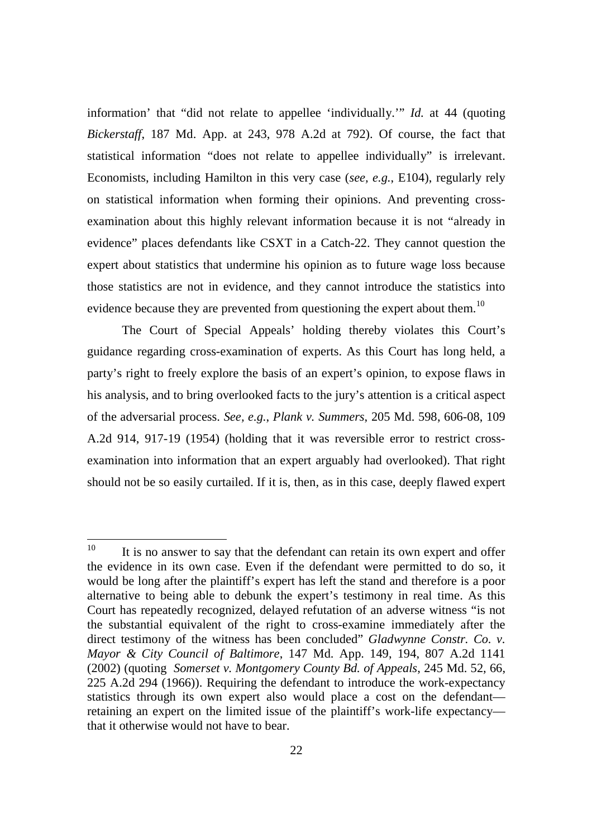information' that "did not relate to appellee 'individually.'" *Id.* at 44 (quoting *Bickerstaff*, 187 Md. App. at 243, 978 A.2d at 792). Of course, the fact that statistical information "does not relate to appellee individually" is irrelevant. Economists, including Hamilton in this very case (*see, e.g.*, E104), regularly rely on statistical information when forming their opinions. And preventing crossexamination about this highly relevant information because it is not "already in evidence" places defendants like CSXT in a Catch-22. They cannot question the expert about statistics that undermine his opinion as to future wage loss because those statistics are not in evidence, and they cannot introduce the statistics into evidence because they are prevented from questioning the expert about them.<sup>10</sup>

The Court of Special Appeals' holding thereby violates this Court's guidance regarding cross-examination of experts. As this Court has long held, a party's right to freely explore the basis of an expert's opinion, to expose flaws in his analysis, and to bring overlooked facts to the jury's attention is a critical aspect of the adversarial process. *See, e.g.*, *Plank v. Summers*, 205 Md. 598, 606-08, 109 A.2d 914, 917-19 (1954) (holding that it was reversible error to restrict crossexamination into information that an expert arguably had overlooked). That right should not be so easily curtailed. If it is, then, as in this case, deeply flawed expert

 $10$  It is no answer to say that the defendant can retain its own expert and offer the evidence in its own case. Even if the defendant were permitted to do so, it would be long after the plaintiff's expert has left the stand and therefore is a poor alternative to being able to debunk the expert's testimony in real time. As this Court has repeatedly recognized, delayed refutation of an adverse witness "is not the substantial equivalent of the right to cross-examine immediately after the direct testimony of the witness has been concluded" *Gladwynne Constr. Co. v. Mayor & City Council of Baltimore*, 147 Md. App. 149, 194, 807 A.2d 1141 (2002) (quoting *Somerset v. Montgomery County Bd. of Appeals*, 245 Md. 52, 66, 225 A.2d 294 (1966)). Requiring the defendant to introduce the work-expectancy statistics through its own expert also would place a cost on the defendant retaining an expert on the limited issue of the plaintiff's work-life expectancy that it otherwise would not have to bear.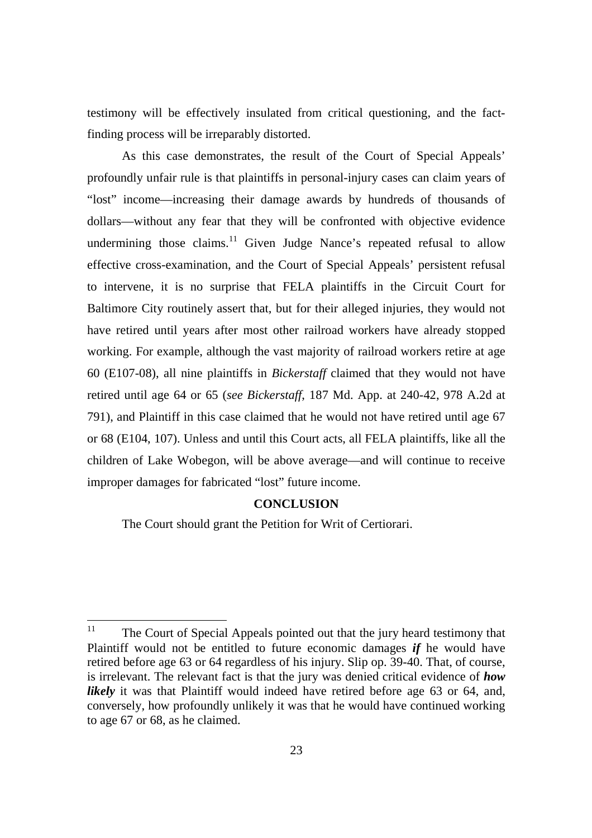testimony will be effectively insulated from critical questioning, and the factfinding process will be irreparably distorted.

As this case demonstrates, the result of the Court of Special Appeals' profoundly unfair rule is that plaintiffs in personal-injury cases can claim years of "lost" income—increasing their damage awards by hundreds of thousands of dollars—without any fear that they will be confronted with objective evidence undermining those claims.<sup>11</sup> Given Judge Nance's repeated refusal to allow effective cross-examination, and the Court of Special Appeals' persistent refusal to intervene, it is no surprise that FELA plaintiffs in the Circuit Court for Baltimore City routinely assert that, but for their alleged injuries, they would not have retired until years after most other railroad workers have already stopped working. For example, although the vast majority of railroad workers retire at age 60 (E107-08), all nine plaintiffs in *Bickerstaff* claimed that they would not have retired until age 64 or 65 (*see Bickerstaff*, 187 Md. App. at 240-42, 978 A.2d at 791), and Plaintiff in this case claimed that he would not have retired until age 67 or 68 (E104, 107). Unless and until this Court acts, all FELA plaintiffs, like all the children of Lake Wobegon, will be above average—and will continue to receive improper damages for fabricated "lost" future income.

#### **CONCLUSION**

The Court should grant the Petition for Writ of Certiorari.

<sup>&</sup>lt;sup>11</sup> The Court of Special Appeals pointed out that the jury heard testimony that Plaintiff would not be entitled to future economic damages *if* he would have retired before age 63 or 64 regardless of his injury. Slip op. 39-40. That, of course, is irrelevant. The relevant fact is that the jury was denied critical evidence of *how likely* it was that Plaintiff would indeed have retired before age 63 or 64, and, conversely, how profoundly unlikely it was that he would have continued working to age 67 or 68, as he claimed.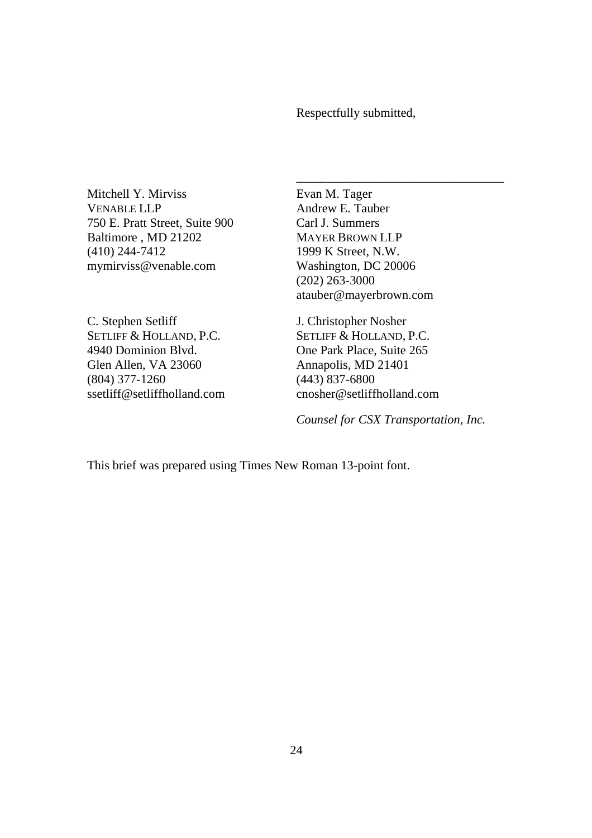Respectfully submitted,

Mitchell Y. Mirviss VENABLE LLP 750 E. Pratt Street, Suite 900 Baltimore , MD 21202 (410) 244-7412 mymirviss@venable.com

C. Stephen Setliff SETLIFF & HOLLAND, P.C. 4940 Dominion Blvd. Glen Allen, VA 23060 (804) 377-1260 ssetliff@setliffholland.com Evan M. Tager Andrew E. Tauber Carl J. Summers MAYER BROWN LLP 1999 K Street, N.W. Washington, DC 20006 (202) 263-3000 atauber@mayerbrown.com

\_\_\_\_\_\_\_\_\_\_\_\_\_\_\_\_\_\_\_\_\_\_\_\_\_\_\_\_\_\_\_\_\_

J. Christopher Nosher SETLIFF & HOLLAND, P.C. One Park Place, Suite 265 Annapolis, MD 21401 (443) 837-6800 cnosher@setliffholland.com

*Counsel for CSX Transportation, Inc.*

This brief was prepared using Times New Roman 13-point font.